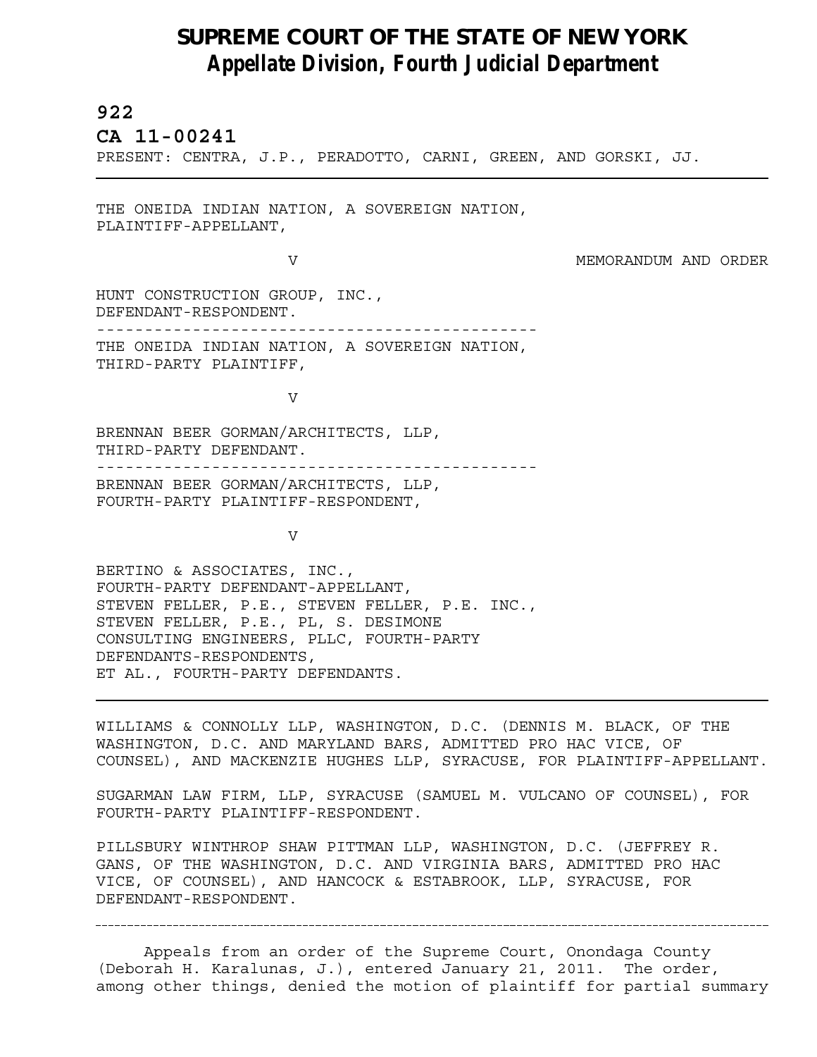## **SUPREME COURT OF THE STATE OF NEW YORK** *Appellate Division, Fourth Judicial Department*

## **922**

L

**CA 11-00241** 

PRESENT: CENTRA, J.P., PERADOTTO, CARNI, GREEN, AND GORSKI, JJ.

THE ONEIDA INDIAN NATION, A SOVEREIGN NATION, PLAINTIFF-APPELLANT,

V MEMORANDUM AND ORDER

HUNT CONSTRUCTION GROUP, INC., DEFENDANT-RESPONDENT. ---------------------------------------------- THE ONEIDA INDIAN NATION, A SOVEREIGN NATION, THIRD-PARTY PLAINTIFF,

V

BRENNAN BEER GORMAN/ARCHITECTS, LLP, THIRD-PARTY DEFENDANT. ---------------------------------------------- BRENNAN BEER GORMAN/ARCHITECTS, LLP, FOURTH-PARTY PLAINTIFF-RESPONDENT,

V

BERTINO & ASSOCIATES, INC., FOURTH-PARTY DEFENDANT-APPELLANT, STEVEN FELLER, P.E., STEVEN FELLER, P.E. INC., STEVEN FELLER, P.E., PL, S. DESIMONE CONSULTING ENGINEERS, PLLC, FOURTH-PARTY DEFENDANTS-RESPONDENTS, ET AL., FOURTH-PARTY DEFENDANTS.

WILLIAMS & CONNOLLY LLP, WASHINGTON, D.C. (DENNIS M. BLACK, OF THE WASHINGTON, D.C. AND MARYLAND BARS, ADMITTED PRO HAC VICE, OF COUNSEL), AND MACKENZIE HUGHES LLP, SYRACUSE, FOR PLAINTIFF-APPELLANT.

SUGARMAN LAW FIRM, LLP, SYRACUSE (SAMUEL M. VULCANO OF COUNSEL), FOR FOURTH-PARTY PLAINTIFF-RESPONDENT.

PILLSBURY WINTHROP SHAW PITTMAN LLP, WASHINGTON, D.C. (JEFFREY R. GANS, OF THE WASHINGTON, D.C. AND VIRGINIA BARS, ADMITTED PRO HAC VICE, OF COUNSEL), AND HANCOCK & ESTABROOK, LLP, SYRACUSE, FOR DEFENDANT-RESPONDENT.

Appeals from an order of the Supreme Court, Onondaga County (Deborah H. Karalunas, J.), entered January 21, 2011. The order, among other things, denied the motion of plaintiff for partial summary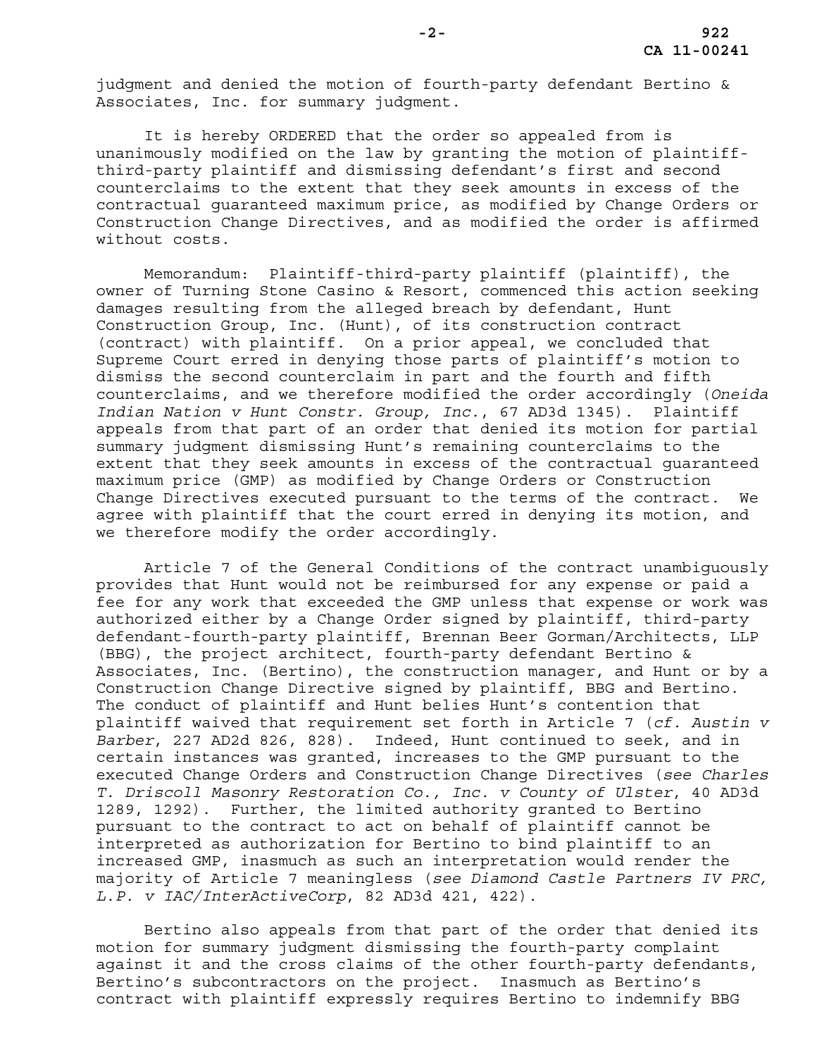judgment and denied the motion of fourth-party defendant Bertino & Associates, Inc. for summary judgment.

It is hereby ORDERED that the order so appealed from is unanimously modified on the law by granting the motion of plaintiffthird-party plaintiff and dismissing defendant's first and second counterclaims to the extent that they seek amounts in excess of the contractual guaranteed maximum price, as modified by Change Orders or Construction Change Directives, and as modified the order is affirmed without costs.

Memorandum: Plaintiff-third-party plaintiff (plaintiff), the owner of Turning Stone Casino & Resort, commenced this action seeking damages resulting from the alleged breach by defendant, Hunt Construction Group, Inc. (Hunt), of its construction contract (contract) with plaintiff. On a prior appeal, we concluded that Supreme Court erred in denying those parts of plaintiff's motion to dismiss the second counterclaim in part and the fourth and fifth counterclaims, and we therefore modified the order accordingly (*Oneida Indian Nation v Hunt Constr. Group, Inc.*, 67 AD3d 1345). Plaintiff appeals from that part of an order that denied its motion for partial summary judgment dismissing Hunt's remaining counterclaims to the extent that they seek amounts in excess of the contractual guaranteed maximum price (GMP) as modified by Change Orders or Construction Change Directives executed pursuant to the terms of the contract. We agree with plaintiff that the court erred in denying its motion, and we therefore modify the order accordingly.

Article 7 of the General Conditions of the contract unambiguously provides that Hunt would not be reimbursed for any expense or paid a fee for any work that exceeded the GMP unless that expense or work was authorized either by a Change Order signed by plaintiff, third-party defendant-fourth-party plaintiff, Brennan Beer Gorman/Architects, LLP (BBG), the project architect, fourth-party defendant Bertino & Associates, Inc. (Bertino), the construction manager, and Hunt or by a Construction Change Directive signed by plaintiff, BBG and Bertino. The conduct of plaintiff and Hunt belies Hunt's contention that plaintiff waived that requirement set forth in Article 7 (*cf. Austin v Barber*, 227 AD2d 826, 828). Indeed, Hunt continued to seek, and in certain instances was granted, increases to the GMP pursuant to the executed Change Orders and Construction Change Directives (*see Charles T. Driscoll Masonry Restoration Co., Inc. v County of Ulster*, 40 AD3d 1289, 1292). Further, the limited authority granted to Bertino pursuant to the contract to act on behalf of plaintiff cannot be interpreted as authorization for Bertino to bind plaintiff to an increased GMP, inasmuch as such an interpretation would render the majority of Article 7 meaningless (*see Diamond Castle Partners IV PRC, L.P. v IAC/InterActiveCorp*, 82 AD3d 421, 422).

Bertino also appeals from that part of the order that denied its motion for summary judgment dismissing the fourth-party complaint against it and the cross claims of the other fourth-party defendants, Bertino's subcontractors on the project. Inasmuch as Bertino's contract with plaintiff expressly requires Bertino to indemnify BBG